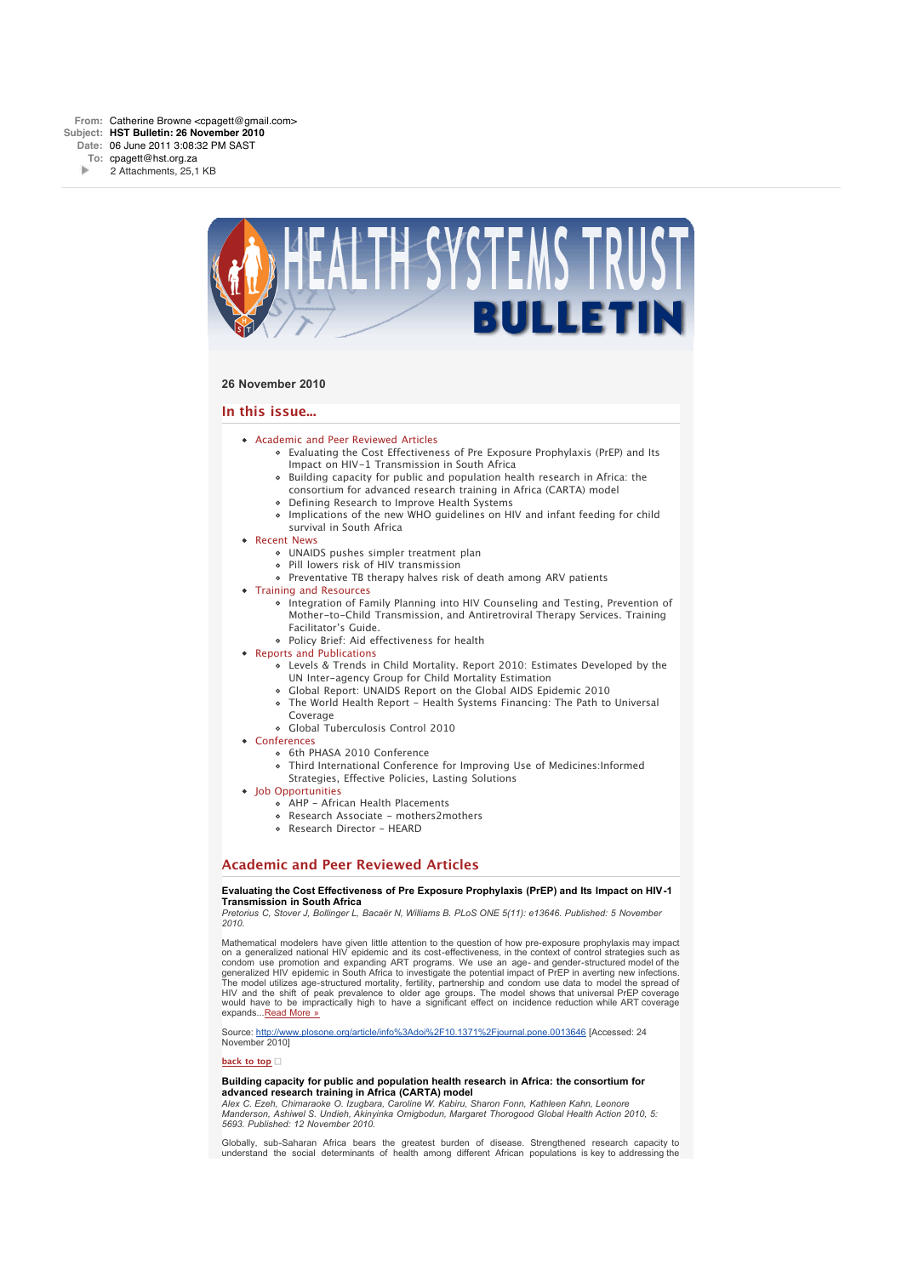

## **26 November 2010**

## **In this issue...**

- Academic and Peer Reviewed Articles
	- Evaluating the Cost Effectiveness of Pre Exposure Prophylaxis (PrEP) and Its Impact on HIV-1 Transmission in South Africa
	- Building capacity for public and population health research in Africa: the consortium for advanced research training in Africa (CARTA) model
	- Defining Research to Improve Health Systems
	- Implications of the new WHO guidelines on HIV and infant feeding for child survival in South Africa
- **B** Recent News
	- UNAIDS pushes simpler treatment plan
	- Pill lowers risk of HIV transmission
	- Preventative TB therapy halves risk of death among ARV patients
- Training and Resources
	- Integration of Family Planning into HIV Counseling and Testing, Prevention of Mother-to-Child Transmission, and Antiretroviral Therapy Services. Training Facilitator's Guide.
	- Policy Brief: Aid effectiveness for health
- Reports and Publications
	- Levels & Trends in Child Mortality. Report 2010: Estimates Developed by the UN Inter-agency Group for Child Mortality Estimation
	- Global Report: UNAIDS Report on the Global AIDS Epidemic 2010
	- The World Health Report Health Systems Financing: The Path to Universal Coverage
	- Global Tuberculosis Control 2010
- Conferences
	- o 6th PHASA 2010 Conference
	- Third International Conference for Improving Use of Medicines:Informed
	- Strategies, Effective Policies, Lasting Solutions
- Iob Opportunities
	- AHP African Health Placements
	- Research Associate mothers2mothers
	- Research Director HEARD

## **Academic and Peer Reviewed Articles**

#### **Evaluating the Cost Effectiveness of Pre Exposure Prophylaxis (PrEP) and Its Impact on HIV-1 Transmission in South Africa**

*Pretorius C, Stover J, Bollinger L, Bacaër N, Williams B. PLoS ONE 5(11): e13646. Published: 5 November 2010.*

Mathematical modelers have given little attention to the question of how pre-exposure prophylaxis may impact on a generalized national HIV epidemic and its cost-effectiveness, in the context of control strategies such as condom use promotion and expanding ART programs. We use an age- and gender-structured model of the generalized HIV epidemic in South Africa to investigate the potential impact of PrEP in averting new infections. The model utilizes age-structured mortality, fertility, partnership and condom use data to model the spread of HIV and the shift of peak prevalence to older age groups. The model shows that universal PrEP coverage would have to be impractically high to have a significant effect on incidence reduction while ART coverage expands...Read More »

Source: http://www.plosone.org/article/info%3Adoi%2F10.1371%2Fjournal.pone.0013646 [Accessed: 24 November 2010]

#### **back to top**

#### **Building capacity for public and population health research in Africa: the consortium for advanced research training in Africa (CARTA) model**

*Alex C. Ezeh, Chimaraoke O. Izugbara, Caroline W. Kabiru, Sharon Fonn, Kathleen Kahn, Leonore Manderson, Ashiwel S. Undieh, Akinyinka Omigbodun, Margaret Thorogood Global Health Action 2010, 5: 5693. Published: 12 November 2010.*

Globally, sub-Saharan Africa bears the greatest burden of disease. Strengthened research capacity to understand the social determinants of health among different African populations is key to addressing the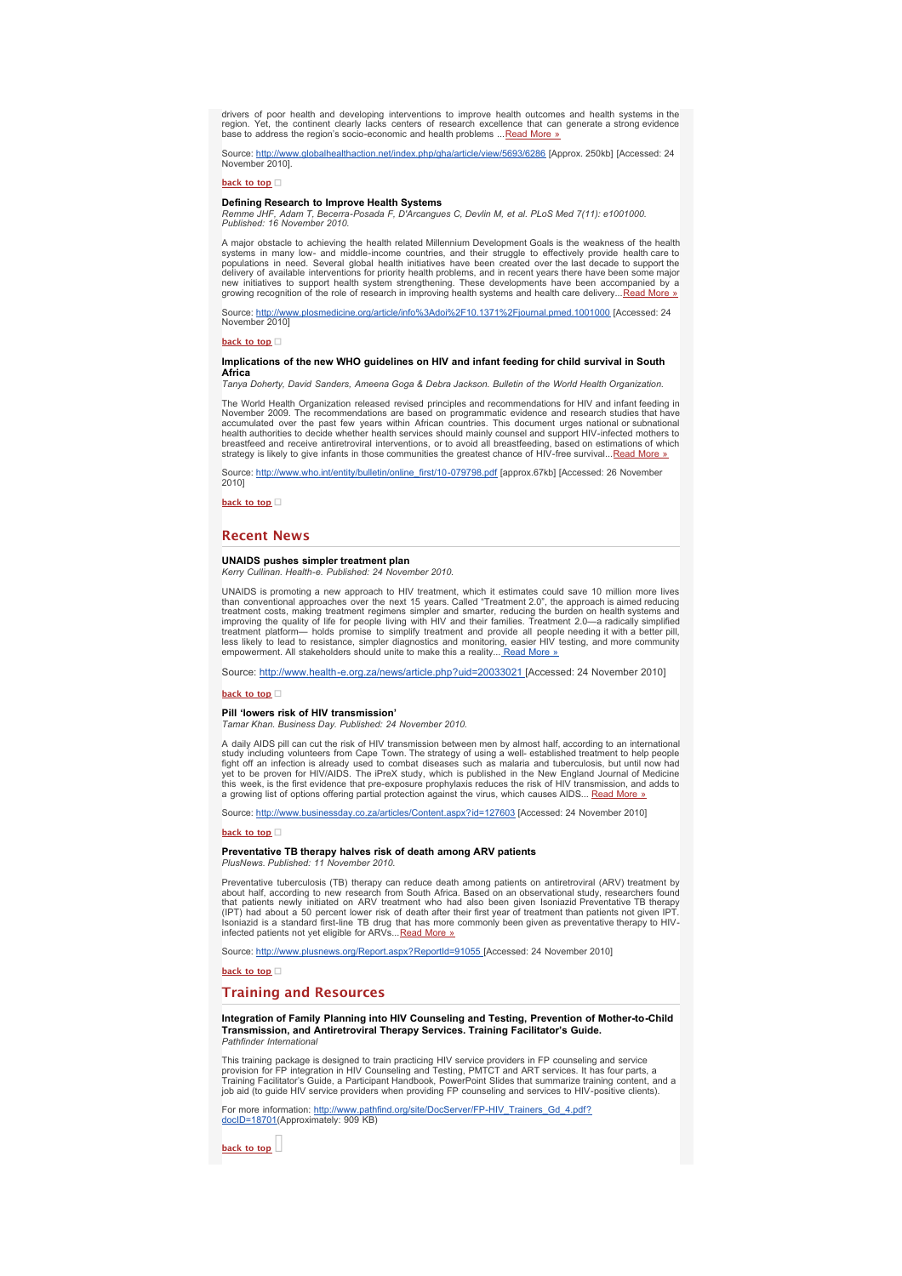drivers of poor health and developing interventions to improve health outcomes and health systems in the region. Yet, the continent clearly lacks centers of research excellence that can generate a strong evidence base to address the region's socio-economic and health problems ... Read More »

ww.globalhealthaction.net/index.php/gha/article/view/5693/6286 [Approx. 250kb] [Accessed: 24 Source: http://www.

**back to top**

#### **Defining Research to Improve Health Systems**

*Remme JHF, Adam T, Becerra-Posada F, D'Arcangues C, Devlin M, et al. PLoS Med 7(11): e1001000. Published: 16 November 2010.*

A major obstacle to achieving the health related Millennium Development Goals is the weakness of the health systems in many low- and middle-income countries, and their struggle to effectively provide health.care to<br>populations in need. Several global health initiatives have been created over the last decade to support the<br>delive new initiatives to support health system strengthening. These developments have been accompanied by a<br>growing recognition of the role of research in improving health systems and health care delivery...<u>Read More »</u>

Source: http://www.plosmedicine.org/article/info%3Adoi%2F10.1371%2Fiournal.pmed.1001000 [Accessed: 24 November 2010]

**back to top**

## **Implications of the new WHO guidelines on HIV and infant feeding for child survival in South Africa**

*Tanya Doherty, David Sanders, Ameena Goga & Debra Jackson. Bulletin of the World Health Organization.*

The World Health Organization released revised principles and recommendations for HIV and infant feeding in November 2009. The recommendations are based on programmatic evidence and research studies that have accumulated over the past few years within African countries. This document urges national or subnational<br>health authorities to decide whether health services should mainly counsel and support HIV-infected mothers to<br>breas strategy is likely to give infants in those communities the greatest chance of HIV-free survival... Read More »

Source: http://www.who.int/entity/bulletin/online\_first/10-079798.pdf [approx.67kb] [Accessed: 26 November 2010]

**back to top**

## **Recent News**

## **UNAIDS pushes simpler treatment plan**

*Kerry Cullinan. Health-e. Published: 24 November 2010.*

UNAIDS is promoting a new approach to HIV treatment, which it estimates could save 10 million more lives<br>than conventional approaches over the next 15 years. Called "Treatment 2.0", the approach is aimed reducing<br>treatment treatment platform— holds promise to simplify treatment and provide all people needing it with a better pill, less likely to lead to resistance, simpler diagnostics and monitoring, easier HIV testing, and more community empowerment. All stakeholders should unite to make this a reality... Read More »

Source: http://www.health-e.org.za/news/article.php?uid=20033021 [Accessed: 24 November 2010]

**back to top**

#### **Pill 'lowers risk of HIV transmission'**

*Tamar Khan. Business Day. Published: 24 November 2010.*

A daily AIDS pill can cut the risk of HIV transmission between men by almost half, according to an international<br>study including volunteers from Cape Town. The strategy of using a well- established treatment to help people a growing list of options offering partial protection against the virus, which causes AIDS... Read More »

Source: http://www.businessday.co.za/articles/Content.aspx?id=127603 [Accessed: 24 November 2010]

#### **back to top**

#### **Preventative TB therapy halves risk of death among ARV patients** *PlusNews. Published: 11 November 2010.*

Preventative tuberculosis (TB) therapy can reduce death among patients on antiretroviral (ARV) treatment by<br>about half, according to new research from South Africa. Based on an observational study, researchers found<br>that p

Source: http://www.plusnews.org/Report.aspx?ReportId=91055 [Accessed: 24 November 2010]

**back to top**

## **Training and Resources**

**Integration of Family Planning into HIV Counseling and Testing, Prevention of Mother-to-Child Transmission, and Antiretroviral Therapy Services. Training Facilitator's Guide.** *Pathfinder International*

This training package is designed to train practicing HIV service providers in FP counseling and service<br>provision for FP integration in HIV Counseling and Testing, PMTCT and ART services. It has four parts, a<br>Training Fac job aid (to guide HIV service providers when providing FP counseling and services to HIV-positive clients).

For more information: <u>http://www.pathfind.org/site/DocServer/FP-HIV\_Trainers\_Gd\_4.pdf?</u><br><u>docID=18701(</u>Approximately: 909 KB)

**back to top**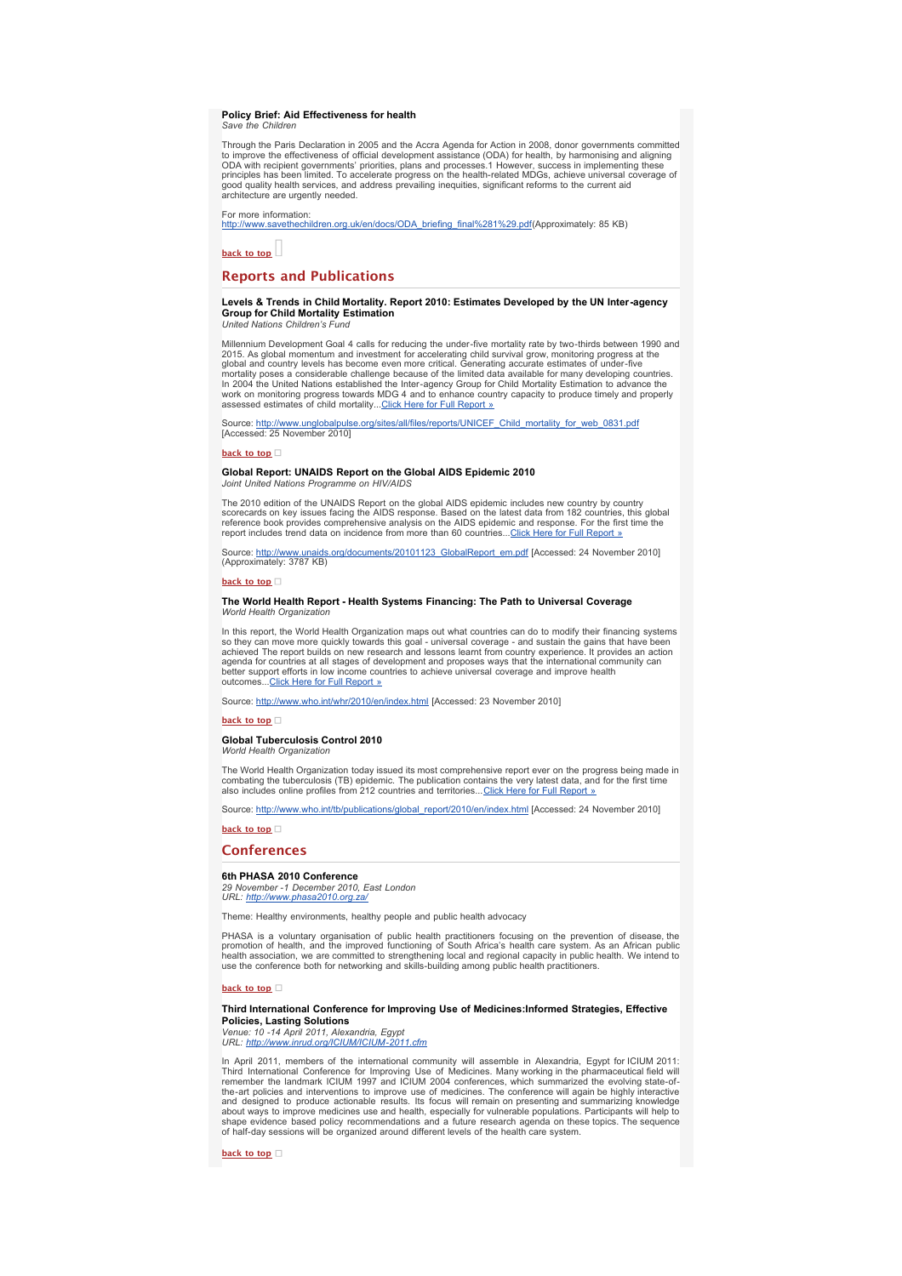#### **Policy Brief: Aid Effectiveness for health** *Save the Children*

Through the Paris Declaration in 2005 and the Accra Agenda for Action in 2008, donor governments committed to improve the effectiveness of official development assistance (ODA) for health, by harmonising and aligning ODA with recipient governments' priorities, plans and processes.1 However, success in implementing these principles has been limited. To accelerate progress on the health-related MDGs, achieve universal coverage of good quality health services, and address prevailing inequities, significant reforms to the current aid architecture are urgently needed.

For more information:

http://www.savethechildren.org.uk/en/docs/ODA\_briefing\_final%281%29.pdf(Approximately: 85 KB)

**back to top**

## **Reports and Publications**

## **Levels & Trends in Child Mortality. Report 2010: Estimates Developed by the UN Inter-agency Group for Child Mortality Estimation**

*United Nations Children's Fund*

Millennium Development Goal 4 calls for reducing the under-five mortality rate by two-thirds between 1990 and 2015. As global momentum and investment for accelerating child survival grow, monitoring progress at the mond country levels has become even more critical. Generating accurate estimates of under-five mortality poses a cons

org/sites/all/files/reports/UNICEF\_Child\_mortality\_for\_web\_0831.pdf Source: http://www.unglobalpuls<br>[Accessed: 25 November 2010]

**back to top**

## **Global Report: UNAIDS Report on the Global AIDS Epidemic 2010**

*Joint United Nations Programme on HIV/AIDS*

The 2010 edition of the UNAIDS Report on the global AIDS epidemic includes new country by country<br>scorecards on key issues facing the AIDS response. Based on the latest data from 182 countries, this global<br>reference book p report includes trend data on incidence from more than 60 countries...Click Here for Full Report »

Source: <u>http://www.unaids.org/documents/20101123\_GlobalReport\_em.pdf</u> [Accessed: 24 November 2010]<br>(Approximately: 3787 KB)

#### **back to top**

#### **The World Health Report - Health Systems Financing: The Path to Universal Coverage World Health Organization**

In this report, the World Health Organization maps out what countries can do to modify their financing systems<br>so they can move more quickly towards this goal - universal coverage - and sustain the gains that have been<br>ach outcomes...Click Here for Full Report »

Source: http://www.who.int/whr/2010/en/index.html [Accessed: 23 November 2010]

**back to top**

## **Global Tuberculosis Control 2010**

*World Health Organization*

The World Health Organization today issued its most comprehensive report ever on the progress being made in combating the tuberculosis (TB) epidemic. The publication contains the very latest data, and for the first time<br>also includes online profiles from 212 countries and territories...<u>Click Here for Full Report »</u>

Source: http://www.who.int/tb/publications/global\_report/2010/en/index.html [Accessed: 24 November 2010]

**back to top**

## **Conferences**

# **6th PHASA 2010 Conference**

*29 November -1 December 2010, East London URL: http://www.phasa2010.org.za/*

Theme: Healthy environments, healthy people and public health advocacy

PHASA is a voluntary organisation of public health practitioners focusing on the prevention of disease, the promotion of health, and the improved functioning of South Africa's health care system. As an African public<br>health association, we are committed to strengthening local and regional capacity in public health. We intend to<br>

**back to top**

## **Third International Conference for Improving Use of Medicines:Informed Strategies, Effective Policies, Lasting Solutions**

*Venue: 10 -14 April 2011, Alexandria, Egypt URL: http://www.inrud.org/ICIUM/ICIUM-2011.cfm*

In April 2011, members of the international community will assemble in Alexandria, Egypt for ICIUM 2011:<br>Third International Conference for Improving Use of Medicines. Many working in the pharmaceutical field will<br>remember the-art policies and interventions to improve use of medicines. The conference will again be highly interactive<br>and designed to produce actionable results. Its focus will remain on presenting and summarizing knowledge<br>abou shape evidence based policy recommendations and a future research agenda on these topics. The sequence of half-day sessions will be organized around different levels of the health care system.

**back to top**